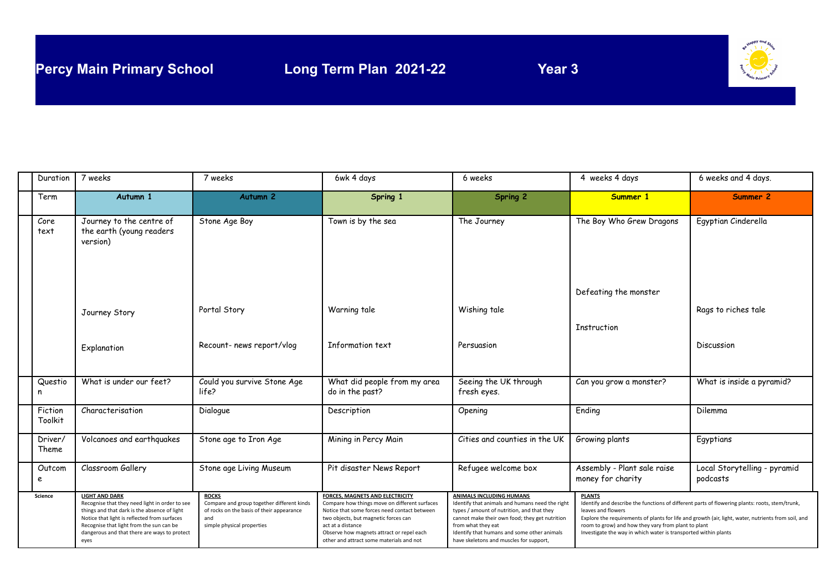

| Duration           | 7 weeks                                                                                                                                                                                                                                                                     | 7 weeks                                                                                                                                      | 6wk 4 days                                                                                                                                                                                                                                                                                    | 6 weeks                                                                                                                                                                                                                                                                                     | 4 weeks 4 days                                                                                                                                                                                                                                                                                                                                                         | 6 weeks and 4 days.                      |
|--------------------|-----------------------------------------------------------------------------------------------------------------------------------------------------------------------------------------------------------------------------------------------------------------------------|----------------------------------------------------------------------------------------------------------------------------------------------|-----------------------------------------------------------------------------------------------------------------------------------------------------------------------------------------------------------------------------------------------------------------------------------------------|---------------------------------------------------------------------------------------------------------------------------------------------------------------------------------------------------------------------------------------------------------------------------------------------|------------------------------------------------------------------------------------------------------------------------------------------------------------------------------------------------------------------------------------------------------------------------------------------------------------------------------------------------------------------------|------------------------------------------|
| Term               | Autumn 1                                                                                                                                                                                                                                                                    | Autumn <sub>2</sub>                                                                                                                          | Spring 1                                                                                                                                                                                                                                                                                      | Spring 2                                                                                                                                                                                                                                                                                    | Summer 1                                                                                                                                                                                                                                                                                                                                                               | Summer 2                                 |
| Core<br>text       | Journey to the centre of<br>the earth (young readers<br>version)                                                                                                                                                                                                            | Stone Age Boy                                                                                                                                | Town is by the sea                                                                                                                                                                                                                                                                            | The Journey                                                                                                                                                                                                                                                                                 | The Boy Who Grew Dragons                                                                                                                                                                                                                                                                                                                                               | Egyptian Cinderella                      |
|                    |                                                                                                                                                                                                                                                                             |                                                                                                                                              |                                                                                                                                                                                                                                                                                               |                                                                                                                                                                                                                                                                                             | Defeating the monster                                                                                                                                                                                                                                                                                                                                                  |                                          |
|                    | Journey Story                                                                                                                                                                                                                                                               | Portal Story                                                                                                                                 | Warning tale                                                                                                                                                                                                                                                                                  | Wishing tale                                                                                                                                                                                                                                                                                | Instruction                                                                                                                                                                                                                                                                                                                                                            | Rags to riches tale                      |
|                    | Explanation                                                                                                                                                                                                                                                                 | Recount- news report/vlog                                                                                                                    | Information text                                                                                                                                                                                                                                                                              | Persuasion                                                                                                                                                                                                                                                                                  |                                                                                                                                                                                                                                                                                                                                                                        | Discussion                               |
| Questio<br>n       | What is under our feet?                                                                                                                                                                                                                                                     | Could you survive Stone Age<br>life?                                                                                                         | What did people from my area<br>do in the past?                                                                                                                                                                                                                                               | Seeing the UK through<br>fresh eyes.                                                                                                                                                                                                                                                        | Can you grow a monster?                                                                                                                                                                                                                                                                                                                                                | What is inside a pyramid?                |
| Fiction<br>Toolkit | Characterisation                                                                                                                                                                                                                                                            | Dialogue                                                                                                                                     | Description                                                                                                                                                                                                                                                                                   | Opening                                                                                                                                                                                                                                                                                     | Ending                                                                                                                                                                                                                                                                                                                                                                 | Dilemma                                  |
| Driver/<br>Theme   | Volcanoes and earthquakes                                                                                                                                                                                                                                                   | Stone age to Iron Age                                                                                                                        | Mining in Percy Main                                                                                                                                                                                                                                                                          | Cities and counties in the UK                                                                                                                                                                                                                                                               | Growing plants                                                                                                                                                                                                                                                                                                                                                         | Egyptians                                |
| Outcom<br>e        | Classroom Gallery                                                                                                                                                                                                                                                           | Stone age Living Museum                                                                                                                      | Pit disaster News Report                                                                                                                                                                                                                                                                      | Refugee welcome box                                                                                                                                                                                                                                                                         | Assembly - Plant sale raise<br>money for charity                                                                                                                                                                                                                                                                                                                       | Local Storytelling - pyramid<br>podcasts |
| <b>Science</b>     | <b>LIGHT AND DARK</b><br>Recognise that they need light in order to see<br>things and that dark is the absence of light<br>Notice that light is reflected from surfaces<br>Recognise that light from the sun can be<br>dangerous and that there are ways to protect<br>eyes | <b>ROCKS</b><br>Compare and group together different kinds<br>of rocks on the basis of their appearance<br>and<br>simple physical properties | <b>FORCES, MAGNETS AND ELECTRICITY</b><br>Compare how things move on different surfaces<br>Notice that some forces need contact between<br>two objects, but magnetic forces can<br>act at a distance<br>Observe how magnets attract or repel each<br>other and attract some materials and not | ANIMALS INCLUDING HUMANS<br>Identify that animals and humans need the right<br>types / amount of nutrition, and that they<br>cannot make their own food; they get nutrition<br>from what they eat<br>Identify that humans and some other animals<br>have skeletons and muscles for support, | <b>PLANTS</b><br>Identify and describe the functions of different parts of flowering plants: roots, stem/trunk,<br>leaves and flowers<br>Explore the requirements of plants for life and growth (air, light, water, nutrients from soil, and<br>room to grow) and how they vary from plant to plant<br>Investigate the way in which water is transported within plants |                                          |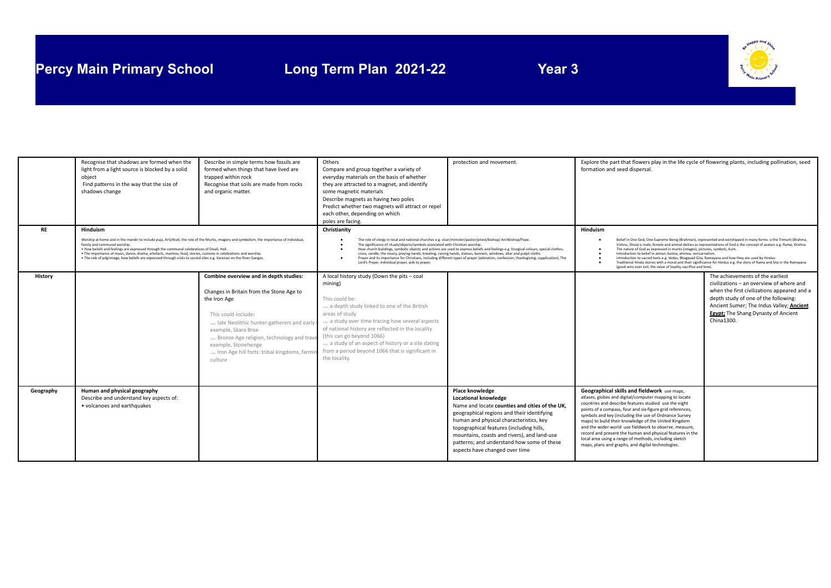# **Percy Main Primary School Long Term Plan 2021-22 Year 3**



|           | Recognise that shadows are formed when the<br>light from a light source is blocked by a solid<br>object<br>Find patterns in the way that the size of<br>shadows change                                                                                                                                                                                                  | Describe in simple terms how fossils are<br>formed when things that have lived are<br>trapped within rock<br>Recognise that soils are made from rocks<br>and organic matter.                                                                                                                                                                               | Others<br>Compare and group together a variety of<br>everyday materials on the basis of whether<br>they are attracted to a magnet, and identify<br>some magnetic materials<br>Describe magnets as having two poles<br>Predict whether two magnets will attract or repel<br>each other, depending on which<br>poles are facing.                                                                                                                                 | protection and movement.                                                                                                                                                                                                                                                                                                                                                    | Explore the part that flowers play in the life cycle of flowering plants, including pollination, seed<br>formation and seed dispersal.                                                                                                                                                                                                                                                                                                                                                                                                                                            |                                                                                                                                                                                                                                                                      |
|-----------|-------------------------------------------------------------------------------------------------------------------------------------------------------------------------------------------------------------------------------------------------------------------------------------------------------------------------------------------------------------------------|------------------------------------------------------------------------------------------------------------------------------------------------------------------------------------------------------------------------------------------------------------------------------------------------------------------------------------------------------------|----------------------------------------------------------------------------------------------------------------------------------------------------------------------------------------------------------------------------------------------------------------------------------------------------------------------------------------------------------------------------------------------------------------------------------------------------------------|-----------------------------------------------------------------------------------------------------------------------------------------------------------------------------------------------------------------------------------------------------------------------------------------------------------------------------------------------------------------------------|-----------------------------------------------------------------------------------------------------------------------------------------------------------------------------------------------------------------------------------------------------------------------------------------------------------------------------------------------------------------------------------------------------------------------------------------------------------------------------------------------------------------------------------------------------------------------------------|----------------------------------------------------------------------------------------------------------------------------------------------------------------------------------------------------------------------------------------------------------------------|
| <b>RE</b> | Hinduism<br>Worship at home and in the mandir to include puja, Arti/Arati, the role of the Murtis, imagery and symbolism, the importance of individual,                                                                                                                                                                                                                 |                                                                                                                                                                                                                                                                                                                                                            | Christianity<br>The role of clergy in local and national churches e.g. vicar/minister/pastor/priest/bishop/ Archbishop/Pope.<br>The significance of rituals/objects/symbols associated with Christian worship.                                                                                                                                                                                                                                                 |                                                                                                                                                                                                                                                                                                                                                                             | <b>Hinduism</b><br>Belief in One God, One Supreme Being (Brahman), represented and worshipped in many forms: o the Trimurti (Brahma,<br>Vishnu, Shiva) o male, female and animal deities as representations of God o the concept of avatars e.g. Rama, Krishna.                                                                                                                                                                                                                                                                                                                   |                                                                                                                                                                                                                                                                      |
|           | family and communal worship.<br>. How beliefs and feelings are expressed through the communal celebrations of Divali, Holi.<br>. The importance of music, dance, drama, artefacts, mantras, food, stories, customs in celebrations and worship.<br>. The role of pilgrimage, how beliefs are expressed through visits to sacred sites e.g. Varanasi on the River Ganges |                                                                                                                                                                                                                                                                                                                                                            | How church buildings, symbolic objects and actions are used to express beliefs and feelings e.g. liturgical colours, special clothes,<br>cross, candle, the rosary, praying hands, kneeling, raising hands, statues, banners, windows, altar and pulpit cloths.<br>Prayer and its importance for Christians, including different types of prayer (adoration, confession, thanksgiving, supplication), The<br>Lord's Prayer, individual prayer, aids to prayer. |                                                                                                                                                                                                                                                                                                                                                                             | The nature of God as expressed in murtis (images), pictures, symbols, Aum.<br>Introduction to belief in atman, karma, ahimsa, reincarnation.<br>Introduction to sacred texts e.g. Vedas, Bhagavad Gita, Ramayana and how they are used by Hindus.<br>Traditional Hindu stories with a moral and their significance for Hindus e.g. the story of Rama and Sita in the Ramayana<br>(good wins over evil, the value of loyalty, sacrifice and love).                                                                                                                                 |                                                                                                                                                                                                                                                                      |
| History   |                                                                                                                                                                                                                                                                                                                                                                         | Combine overview and in depth studies:<br>Changes in Britain from the Stone Age to<br>the Iron Age<br>This could include:<br>a late Neolithic hunter-gatherers and early<br>example, Skara Brae<br>$\Rightarrow$ Bronze Age religion, technology and travel<br>example, Stonehenge<br>$\Rightarrow$ Iron Age hill forts: tribal kingdoms, farmi<br>culture | A local history study (Down the pits - coal<br>mining)<br>This could be:<br>$\Rightarrow$ a depth study linked to one of the British<br>areas of study<br>$\Rightarrow$ a study over time tracing how several aspects<br>of national history are reflected in the locality<br>(this can go beyond 1066)<br>$\Rightarrow$ a study of an aspect of history or a site dating<br>from a period beyond 1066 that is significant in<br>the locality.                 |                                                                                                                                                                                                                                                                                                                                                                             |                                                                                                                                                                                                                                                                                                                                                                                                                                                                                                                                                                                   | The achievements of the earliest<br>civilizations - an overview of where and<br>when the first civilizations appeared and a<br>depth study of one of the following:<br>Ancient Sumer; The Indus Valley; Ancient<br>Egypt; The Shang Dynasty of Ancient<br>China1300. |
| Geography | Human and physical geography<br>Describe and understand key aspects of:<br>• volcanoes and earthquakes                                                                                                                                                                                                                                                                  |                                                                                                                                                                                                                                                                                                                                                            |                                                                                                                                                                                                                                                                                                                                                                                                                                                                | <b>Place knowledge</b><br><b>Locational knowledge</b><br>Name and locate counties and cities of the UK.<br>geographical regions and their identifying<br>human and physical characteristics, key<br>topographical features (including hills,<br>mountains, coasts and rivers), and land-use<br>patterns; and understand how some of these<br>aspects have changed over time | Geographical skills and fieldwork use maps,<br>atlases, globes and digital/computer mapping to locate<br>countries and describe features studied use the eight<br>points of a compass, four and six-figure grid references,<br>symbols and key (including the use of Ordnance Survey<br>maps) to build their knowledge of the United Kingdom<br>and the wider world use fieldwork to observe, measure,<br>record and present the human and physical features in the<br>local area using a range of methods, including sketch<br>maps, plans and graphs, and digital technologies. |                                                                                                                                                                                                                                                                      |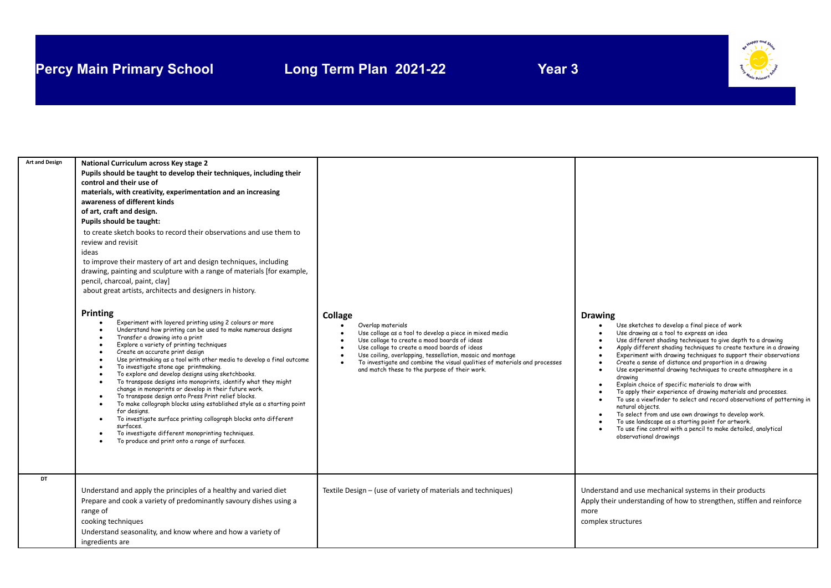# **Percy Main Primary School Long Term Plan 2021-22 Year 3**



| <b>Art and Design</b><br>DT | National Curriculum across Key stage 2<br>Pupils should be taught to develop their techniques, including their<br>control and their use of<br>materials, with creativity, experimentation and an increasing<br>awareness of different kinds<br>of art, craft and design.<br>Pupils should be taught:<br>to create sketch books to record their observations and use them to<br>review and revisit<br>ideas<br>to improve their mastery of art and design techniques, including<br>drawing, painting and sculpture with a range of materials [for example,<br>pencil, charcoal, paint, clay]<br>about great artists, architects and designers in history.<br><b>Printing</b><br>Experiment with layered printing using 2 colours or more<br>Understand how printing can be used to make numerous designs<br>Transfer a drawing into a print<br>Explore a variety of printing techniques<br>Create an accurate print design<br>Use printmaking as a tool with other media to develop a final outcome<br>To investigate stone age printmaking.<br>To explore and develop designs using sketchbooks.<br>To transpose designs into monoprints, identify what they might<br>change in monoprints or develop in their future work.<br>To transpose design onto Press Print relief blocks.<br>To make collograph blocks using established style as a starting point<br>for designs.<br>To investigate surface printing collograph blocks onto different<br>surfaces.<br>To investigate different monoprinting techniques.<br>To produce and print onto a range of surfaces. | Collage<br>Overlap materials<br>Use collage as a tool to develop a piece in mixed media<br>Use collage to create a mood boards of ideas<br>Use collage to create a mood boards of ideas<br>Use coiling, overlapping, tessellation, mosaic and montage<br>To investigate and combine the visual qualities of materials and processes<br>and match these to the purpose of their work. | <b>Drawing</b><br>Use sketches to develop a final piece of work<br>Use drawing as a tool to express an idea<br>Use different shading techniques to give depth to a drawing<br>Apply different shading techniques to create texture in a drawing<br>Experiment with drawing techniques to support their observations<br>Create a sense of distance and proportion in a drawing<br>Use experimental drawing techniques to create atmosphere in a<br>drawing<br>Explain choice of specific materials to draw with<br>To apply their experience of drawing materials and processes.<br>To use a viewfinder to select and record observations of patterning in<br>natural objects.<br>To select from and use own drawings to develop work.<br>To use landscape as a starting point for artwork.<br>To use fine control with a pencil to make detailed, analytical<br>observational drawings |
|-----------------------------|---------------------------------------------------------------------------------------------------------------------------------------------------------------------------------------------------------------------------------------------------------------------------------------------------------------------------------------------------------------------------------------------------------------------------------------------------------------------------------------------------------------------------------------------------------------------------------------------------------------------------------------------------------------------------------------------------------------------------------------------------------------------------------------------------------------------------------------------------------------------------------------------------------------------------------------------------------------------------------------------------------------------------------------------------------------------------------------------------------------------------------------------------------------------------------------------------------------------------------------------------------------------------------------------------------------------------------------------------------------------------------------------------------------------------------------------------------------------------------------------------------------------------------------------------------------------|--------------------------------------------------------------------------------------------------------------------------------------------------------------------------------------------------------------------------------------------------------------------------------------------------------------------------------------------------------------------------------------|----------------------------------------------------------------------------------------------------------------------------------------------------------------------------------------------------------------------------------------------------------------------------------------------------------------------------------------------------------------------------------------------------------------------------------------------------------------------------------------------------------------------------------------------------------------------------------------------------------------------------------------------------------------------------------------------------------------------------------------------------------------------------------------------------------------------------------------------------------------------------------------|
|                             | Understand and apply the principles of a healthy and varied diet<br>Prepare and cook a variety of predominantly savoury dishes using a<br>range of<br>cooking techniques<br>Understand seasonality, and know where and how a variety of<br>ingredients are                                                                                                                                                                                                                                                                                                                                                                                                                                                                                                                                                                                                                                                                                                                                                                                                                                                                                                                                                                                                                                                                                                                                                                                                                                                                                                          | Textile Design - (use of variety of materials and techniques)                                                                                                                                                                                                                                                                                                                        | Understand and use mechanical systems in their products<br>Apply their understanding of how to strengthen, stiffen and reinforce<br>more<br>complex structures                                                                                                                                                                                                                                                                                                                                                                                                                                                                                                                                                                                                                                                                                                                         |